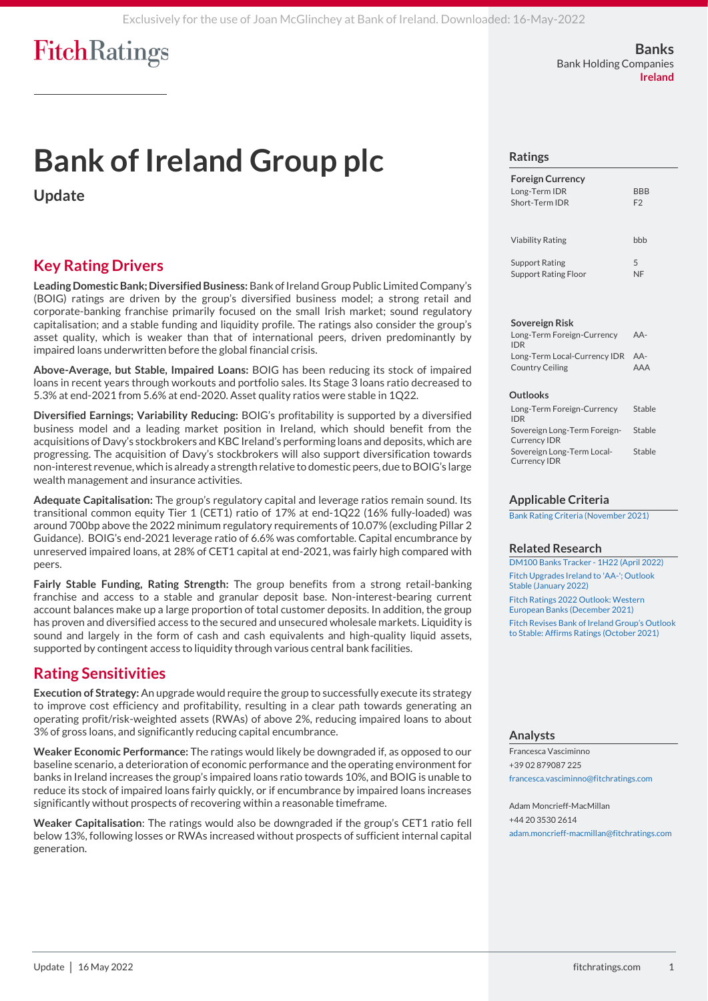# **Bank of Ireland Group plc**

**Update**

## **Key Rating Drivers**

**Leading Domestic Bank; Diversified Business:**Bank of Ireland Group Public Limited Company's (BOIG) ratings are driven by the group's diversified business model; a strong retail and corporate-banking franchise primarily focused on the small Irish market; sound regulatory capitalisation; and a stable funding and liquidity profile. The ratings also consider the group's asset quality, which is weaker than that of international peers, driven predominantly by impaired loans underwritten before the global financial crisis.

**Above-Average, but Stable, Impaired Loans:** BOIG has been reducing its stock of impaired loans in recent years through workouts and portfolio sales. Its Stage 3 loans ratio decreased to 5.3% at end-2021 from 5.6% at end-2020. Asset quality ratios were stable in 1Q22.

**Diversified Earnings; Variability Reducing:** BOIG's profitability is supported by a diversified business model and a leading market position in Ireland, which should benefit from the acquisitions of Davy's stockbrokers and KBC Ireland's performing loans and deposits, which are progressing. The acquisition of Davy's stockbrokers will also support diversification towards non-interest revenue, which is already a strength relative to domestic peers, due to BOIG's large wealth management and insurance activities.

**Adequate Capitalisation:** The group's regulatory capital and leverage ratios remain sound. Its transitional common equity Tier 1 (CET1) ratio of 17% at end-1Q22 (16% fully-loaded) was around 700bp above the 2022 minimum regulatory requirements of 10.07% (excluding Pillar 2 Guidance). BOIG's end-2021 leverage ratio of 6.6% was comfortable. Capital encumbrance by unreserved impaired loans, at 28% of CET1 capital at end-2021, was fairly high compared with peers.

**Fairly Stable Funding, Rating Strength:** The group benefits from a strong retail-banking franchise and access to a stable and granular deposit base. Non-interest-bearing current account balances make up a large proportion of total customer deposits. In addition, the group has proven and diversified access to the secured and unsecured wholesale markets. Liquidity is sound and largely in the form of cash and cash equivalents and high-quality liquid assets, supported by contingent access to liquidity through various central bank facilities.

## **Rating Sensitivities**

**Execution of Strategy:** An upgrade would require the group to successfully execute its strategy to improve cost efficiency and profitability, resulting in a clear path towards generating an operating profit/risk-weighted assets (RWAs) of above 2%, reducing impaired loans to about 3% of gross loans, and significantly reducing capital encumbrance.

**Weaker Economic Performance:** The ratings would likely be downgraded if, as opposed to our baseline scenario, a deterioration of economic performance and the operating environment for banks in Ireland increases the group's impaired loans ratio towards 10%, and BOIG is unable to reduce its stock of impaired loans fairly quickly, or if encumbrance by impaired loans increases significantly without prospects of recovering within a reasonable timeframe.

**Weaker Capitalisation**: The ratings would also be downgraded if the group's CET1 ratio fell below 13%, following losses or RWAs increased without prospects of sufficient internal capital generation.

#### **Ratings**

| <b>Foreign Currency</b><br>Long-Term IDR<br>Short-Term IDR | <b>BBB</b><br>F2 |
|------------------------------------------------------------|------------------|
| <b>Viability Rating</b>                                    | hhh              |
| <b>Support Rating</b><br><b>Support Rating Floor</b>       | 5<br>NF          |

#### **Sovereign Risk**

| Long-Term Foreign-Currency<br><b>IDR</b>                   | AA- |
|------------------------------------------------------------|-----|
| Long-Term Local-Currency IDR AA-<br><b>Country Ceiling</b> | AAA |

#### **Outlooks**

| Long-Term Foreign-Currency<br><b>IDR</b>            | Stable |
|-----------------------------------------------------|--------|
| Sovereign Long-Term Foreign-<br><b>Currency IDR</b> | Stable |
| Sovereign Long-Term Local-<br><b>Currency IDR</b>   | Stable |

#### **Applicable Criteria**

[Bank Rating Criteria \(November 2021\)](https://app.fitchconnect.com/search/research/article/RPT_10182112?jwt=eyJhbGciOiJIUzUxMiJ9.eyJzdWIiOiJ3YXRlcm1hcmsiLCJ1c2VySUQiOiI1YmRhMTJhYTYzYjdhMzAwMDE0MDJkOTgiLCJkb2NJRCI6IkZSX1JQVF8xMDIwMTkxNCIsIlVVSUQiOiI4MjFjZjJjYi1jMGQ3LTRjNGUtOWUzNC1hYzhlZTU2ZDdkYzYiLCJjbGllbnRJRCI6IjVjYTM2MjU5MzA5ZWI0MDAwMTQ1YWY5OSIsInRpbWVzdGFtcCI6eyJuYW5vIjo3NDA4NzQwMDAsInllYXIiOjIwMjIsIm1vbnRoVmFsdWUiOjUsImRheU9mTW9udGgiOjE2LCJob3VyIjoxNywibWludXRlIjozNiwic2Vjb25kIjo0NCwiZGF5T2ZXZWVrIjoiTU9OREFZIiwiZGF5T2ZZZWFyIjoxMzYsIm1vbnRoIjoiTUFZIiwiY2hyb25vbG9neSI6eyJpZCI6IklTTyIsImNhbGVuZGFyVHlwZSI6Imlzbzg2MDEifX19.ajFoBdVwq3JpZm1YwEuUAz3a5uoFV1uoIyo_TRnaEkPJIHYdcMh6DRR9UQpHmRHaxmy0I99icUk4L2q1wpJfBg)

#### **Related Research**

[DM100 Banks Tracker -](https://app.fitchconnect.com/search/research/article/FR_RPT_10199653?jwt=eyJhbGciOiJIUzUxMiJ9.eyJzdWIiOiJ3YXRlcm1hcmsiLCJ1c2VySUQiOiI1YmRhMTJhYTYzYjdhMzAwMDE0MDJkOTgiLCJkb2NJRCI6IkZSX1JQVF8xMDIwMTkxNCIsIlVVSUQiOiI4MjFjZjJjYi1jMGQ3LTRjNGUtOWUzNC1hYzhlZTU2ZDdkYzYiLCJjbGllbnRJRCI6IjVjYTM2MjU5MzA5ZWI0MDAwMTQ1YWY5OSIsInRpbWVzdGFtcCI6eyJuYW5vIjo3NDA4NzQwMDAsInllYXIiOjIwMjIsIm1vbnRoVmFsdWUiOjUsImRheU9mTW9udGgiOjE2LCJob3VyIjoxNywibWludXRlIjozNiwic2Vjb25kIjo0NCwiZGF5T2ZXZWVrIjoiTU9OREFZIiwiZGF5T2ZZZWFyIjoxMzYsIm1vbnRoIjoiTUFZIiwiY2hyb25vbG9neSI6eyJpZCI6IklTTyIsImNhbGVuZGFyVHlwZSI6Imlzbzg2MDEifX19.ajFoBdVwq3JpZm1YwEuUAz3a5uoFV1uoIyo_TRnaEkPJIHYdcMh6DRR9UQpHmRHaxmy0I99icUk4L2q1wpJfBg) 1H22 (April 2022) [Fitch Upgrades Ireland to 'AA-'; Outlook](https://app.fitchconnect.com/search/research/article/FR_PR_10192099?jwt=eyJhbGciOiJIUzUxMiJ9.eyJzdWIiOiJ3YXRlcm1hcmsiLCJ1c2VySUQiOiI1YmRhMTJhYTYzYjdhMzAwMDE0MDJkOTgiLCJkb2NJRCI6IkZSX1JQVF8xMDIwMTkxNCIsIlVVSUQiOiI4MjFjZjJjYi1jMGQ3LTRjNGUtOWUzNC1hYzhlZTU2ZDdkYzYiLCJjbGllbnRJRCI6IjVjYTM2MjU5MzA5ZWI0MDAwMTQ1YWY5OSIsInRpbWVzdGFtcCI6eyJuYW5vIjo3NDA4NzQwMDAsInllYXIiOjIwMjIsIm1vbnRoVmFsdWUiOjUsImRheU9mTW9udGgiOjE2LCJob3VyIjoxNywibWludXRlIjozNiwic2Vjb25kIjo0NCwiZGF5T2ZXZWVrIjoiTU9OREFZIiwiZGF5T2ZZZWFyIjoxMzYsIm1vbnRoIjoiTUFZIiwiY2hyb25vbG9neSI6eyJpZCI6IklTTyIsImNhbGVuZGFyVHlwZSI6Imlzbzg2MDEifX19.ajFoBdVwq3JpZm1YwEuUAz3a5uoFV1uoIyo_TRnaEkPJIHYdcMh6DRR9UQpHmRHaxmy0I99icUk4L2q1wpJfBg)  [Stable \(January 2022\)](https://app.fitchconnect.com/search/research/article/FR_PR_10192099?jwt=eyJhbGciOiJIUzUxMiJ9.eyJzdWIiOiJ3YXRlcm1hcmsiLCJ1c2VySUQiOiI1YmRhMTJhYTYzYjdhMzAwMDE0MDJkOTgiLCJkb2NJRCI6IkZSX1JQVF8xMDIwMTkxNCIsIlVVSUQiOiI4MjFjZjJjYi1jMGQ3LTRjNGUtOWUzNC1hYzhlZTU2ZDdkYzYiLCJjbGllbnRJRCI6IjVjYTM2MjU5MzA5ZWI0MDAwMTQ1YWY5OSIsInRpbWVzdGFtcCI6eyJuYW5vIjo3NDA4NzQwMDAsInllYXIiOjIwMjIsIm1vbnRoVmFsdWUiOjUsImRheU9mTW9udGgiOjE2LCJob3VyIjoxNywibWludXRlIjozNiwic2Vjb25kIjo0NCwiZGF5T2ZXZWVrIjoiTU9OREFZIiwiZGF5T2ZZZWFyIjoxMzYsIm1vbnRoIjoiTUFZIiwiY2hyb25vbG9neSI6eyJpZCI6IklTTyIsImNhbGVuZGFyVHlwZSI6Imlzbzg2MDEifX19.ajFoBdVwq3JpZm1YwEuUAz3a5uoFV1uoIyo_TRnaEkPJIHYdcMh6DRR9UQpHmRHaxmy0I99icUk4L2q1wpJfBg) [Fitch Ratings 2022 Outlook: Western](https://app.fitchconnect.com/search/research/article/FR_RPT_10185919?jwt=eyJhbGciOiJIUzUxMiJ9.eyJzdWIiOiJ3YXRlcm1hcmsiLCJ1c2VySUQiOiI1YmRhMTJhYTYzYjdhMzAwMDE0MDJkOTgiLCJkb2NJRCI6IkZSX1JQVF8xMDIwMTkxNCIsIlVVSUQiOiI4MjFjZjJjYi1jMGQ3LTRjNGUtOWUzNC1hYzhlZTU2ZDdkYzYiLCJjbGllbnRJRCI6IjVjYTM2MjU5MzA5ZWI0MDAwMTQ1YWY5OSIsInRpbWVzdGFtcCI6eyJuYW5vIjo3NDA4NzQwMDAsInllYXIiOjIwMjIsIm1vbnRoVmFsdWUiOjUsImRheU9mTW9udGgiOjE2LCJob3VyIjoxNywibWludXRlIjozNiwic2Vjb25kIjo0NCwiZGF5T2ZXZWVrIjoiTU9OREFZIiwiZGF5T2ZZZWFyIjoxMzYsIm1vbnRoIjoiTUFZIiwiY2hyb25vbG9neSI6eyJpZCI6IklTTyIsImNhbGVuZGFyVHlwZSI6Imlzbzg2MDEifX19.ajFoBdVwq3JpZm1YwEuUAz3a5uoFV1uoIyo_TRnaEkPJIHYdcMh6DRR9UQpHmRHaxmy0I99icUk4L2q1wpJfBg)  [European Banks \(December 2021\)](https://app.fitchconnect.com/search/research/article/FR_RPT_10185919?jwt=eyJhbGciOiJIUzUxMiJ9.eyJzdWIiOiJ3YXRlcm1hcmsiLCJ1c2VySUQiOiI1YmRhMTJhYTYzYjdhMzAwMDE0MDJkOTgiLCJkb2NJRCI6IkZSX1JQVF8xMDIwMTkxNCIsIlVVSUQiOiI4MjFjZjJjYi1jMGQ3LTRjNGUtOWUzNC1hYzhlZTU2ZDdkYzYiLCJjbGllbnRJRCI6IjVjYTM2MjU5MzA5ZWI0MDAwMTQ1YWY5OSIsInRpbWVzdGFtcCI6eyJuYW5vIjo3NDA4NzQwMDAsInllYXIiOjIwMjIsIm1vbnRoVmFsdWUiOjUsImRheU9mTW9udGgiOjE2LCJob3VyIjoxNywibWludXRlIjozNiwic2Vjb25kIjo0NCwiZGF5T2ZXZWVrIjoiTU9OREFZIiwiZGF5T2ZZZWFyIjoxMzYsIm1vbnRoIjoiTUFZIiwiY2hyb25vbG9neSI6eyJpZCI6IklTTyIsImNhbGVuZGFyVHlwZSI6Imlzbzg2MDEifX19.ajFoBdVwq3JpZm1YwEuUAz3a5uoFV1uoIyo_TRnaEkPJIHYdcMh6DRR9UQpHmRHaxmy0I99icUk4L2q1wpJfBg) [Fitch Revises Bank of Ireland Group's Outloo](https://app.fitchconnect.com/search/research/article/PR_10179394?jwt=eyJhbGciOiJIUzUxMiJ9.eyJzdWIiOiJ3YXRlcm1hcmsiLCJ1c2VySUQiOiI1YmRhMTJhYTYzYjdhMzAwMDE0MDJkOTgiLCJkb2NJRCI6IkZSX1JQVF8xMDIwMTkxNCIsIlVVSUQiOiI4MjFjZjJjYi1jMGQ3LTRjNGUtOWUzNC1hYzhlZTU2ZDdkYzYiLCJjbGllbnRJRCI6IjVjYTM2MjU5MzA5ZWI0MDAwMTQ1YWY5OSIsInRpbWVzdGFtcCI6eyJuYW5vIjo3NDA4NzQwMDAsInllYXIiOjIwMjIsIm1vbnRoVmFsdWUiOjUsImRheU9mTW9udGgiOjE2LCJob3VyIjoxNywibWludXRlIjozNiwic2Vjb25kIjo0NCwiZGF5T2ZXZWVrIjoiTU9OREFZIiwiZGF5T2ZZZWFyIjoxMzYsIm1vbnRoIjoiTUFZIiwiY2hyb25vbG9neSI6eyJpZCI6IklTTyIsImNhbGVuZGFyVHlwZSI6Imlzbzg2MDEifX19.ajFoBdVwq3JpZm1YwEuUAz3a5uoFV1uoIyo_TRnaEkPJIHYdcMh6DRR9UQpHmRHaxmy0I99icUk4L2q1wpJfBg)k [to Stable: Affirms Ratings \(October 2021\)](https://app.fitchconnect.com/search/research/article/PR_10179394?jwt=eyJhbGciOiJIUzUxMiJ9.eyJzdWIiOiJ3YXRlcm1hcmsiLCJ1c2VySUQiOiI1YmRhMTJhYTYzYjdhMzAwMDE0MDJkOTgiLCJkb2NJRCI6IkZSX1JQVF8xMDIwMTkxNCIsIlVVSUQiOiI4MjFjZjJjYi1jMGQ3LTRjNGUtOWUzNC1hYzhlZTU2ZDdkYzYiLCJjbGllbnRJRCI6IjVjYTM2MjU5MzA5ZWI0MDAwMTQ1YWY5OSIsInRpbWVzdGFtcCI6eyJuYW5vIjo3NDA4NzQwMDAsInllYXIiOjIwMjIsIm1vbnRoVmFsdWUiOjUsImRheU9mTW9udGgiOjE2LCJob3VyIjoxNywibWludXRlIjozNiwic2Vjb25kIjo0NCwiZGF5T2ZXZWVrIjoiTU9OREFZIiwiZGF5T2ZZZWFyIjoxMzYsIm1vbnRoIjoiTUFZIiwiY2hyb25vbG9neSI6eyJpZCI6IklTTyIsImNhbGVuZGFyVHlwZSI6Imlzbzg2MDEifX19.ajFoBdVwq3JpZm1YwEuUAz3a5uoFV1uoIyo_TRnaEkPJIHYdcMh6DRR9UQpHmRHaxmy0I99icUk4L2q1wpJfBg)

#### **Analysts**

Francesca Vasciminno +39 02 879087 225 [francesca.vasciminno@fitchratings.com](mailto:francesca.vasciminno@fitchratings.com)

Adam Moncrieff-MacMillan +44 20 3530 2614 [adam.moncrieff-macmillan@fitchratings.com](mailto:adam.moncrieff-macmillan@fitchratings.com)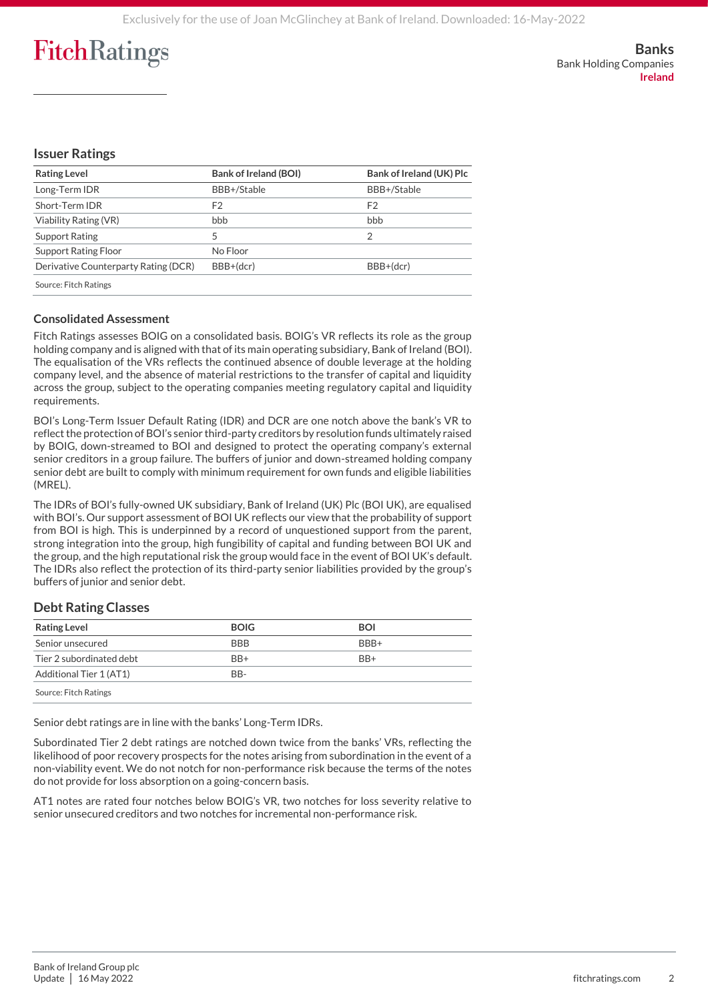#### **Issuer Ratings**

| <b>Rating Level</b>                  | <b>Bank of Ireland (BOI)</b> | Bank of Ireland (UK) Plc |
|--------------------------------------|------------------------------|--------------------------|
| Long-Term IDR                        | BBB+/Stable                  | BBB+/Stable              |
| Short-Term IDR                       | F <sub>2</sub>               | F <sub>2</sub>           |
| Viability Rating (VR)                | bbb                          | bbb                      |
| Support Rating                       | 5                            | 2                        |
| <b>Support Rating Floor</b>          | No Floor                     |                          |
| Derivative Counterparty Rating (DCR) | BBB+(dcr)                    | BBB+(dcr)                |
| Source: Fitch Ratings                |                              |                          |

#### **Consolidated Assessment**

Fitch Ratings assesses BOIG on a consolidated basis. BOIG's VR reflects its role as the group holding company and is aligned with that of its main operating subsidiary, Bank of Ireland (BOI). The equalisation of the VRs reflects the continued absence of double leverage at the holding company level, and the absence of material restrictions to the transfer of capital and liquidity across the group, subject to the operating companies meeting regulatory capital and liquidity requirements.

BOI's Long-Term Issuer Default Rating (IDR) and DCR are one notch above the bank's VR to reflect the protection of BOI's senior third-party creditors by resolution funds ultimately raised by BOIG, down-streamed to BOI and designed to protect the operating company's external senior creditors in a group failure. The buffers of junior and down-streamed holding company senior debt are built to comply with minimum requirement for own funds and eligible liabilities (MREL).

The IDRs of BOI's fully-owned UK subsidiary, Bank of Ireland (UK) Plc (BOI UK), are equalised with BOI's. Our support assessment of BOI UK reflects our view that the probability of support from BOI is high. This is underpinned by a record of unquestioned support from the parent, strong integration into the group, high fungibility of capital and funding between BOI UK and the group, and the high reputational risk the group would face in the event of BOI UK's default. The IDRs also reflect the protection of its third-party senior liabilities provided by the group's buffers of junior and senior debt.

#### **Debt Rating Classes**

| <b>Rating Level</b>      | <b>BOIG</b> | <b>BOI</b>      |  |
|--------------------------|-------------|-----------------|--|
| Senior unsecured         | <b>BBB</b>  | BBB+            |  |
| Tier 2 subordinated debt | $BB+$       | B <sub>R+</sub> |  |
| Additional Tier 1 (AT1)  | BB-         |                 |  |
| Source: Fitch Ratings    |             |                 |  |

Senior debt ratings are in line with the banks' Long-Term IDRs.

Subordinated Tier 2 debt ratings are notched down twice from the banks' VRs, reflecting the likelihood of poor recovery prospects for the notes arising from subordination in the event of a non-viability event. We do not notch for non-performance risk because the terms of the notes do not provide for loss absorption on a going-concern basis.

AT1 notes are rated four notches below BOIG's VR, two notches for loss severity relative to senior unsecured creditors and two notches for incremental non-performance risk.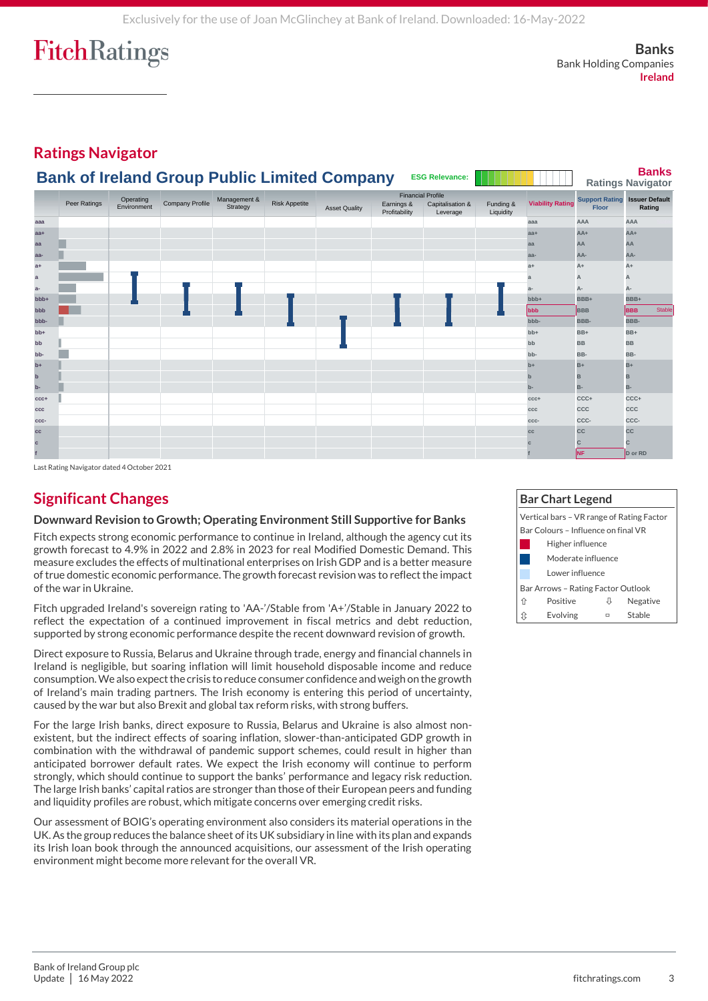**Banks** Bank Holding Companies **Ireland**

#### **Ratings Navigator Banks Ratings Navigator aaa aaa AAA AAA** Stable **aa+ aa+ AA+ AA+** Stable **aa aa AA AA** Stable **aa- aa- AA- AA-** Stable **a+ a+ A+ A+** Stable **a a A A** Stable **a- a- A- A-** Stable **bbb+ bbb+ BBB+ BBB+** Stable **bbb bbb BBB BBB** Stable **bbb- bbb- BBB- BBB-** Stable **bb+ bb+ BB+ BB+** Stable **bb bb BB BB** Stable **bb- bb- BB- BB-** Stable **b+ b+ B+ B+** Stable **b b B B** Stable **b- b- B- B-** Stable **ccc+ ccc+ CCC+ CCC+** Stable **ccc ccc CCC CCC** Stable **ccc- ccc- CCC- CCC-** Stable **cc cc CC CC** Stable **c c C C** Stable **f f NF D or RD** Stable Peer Ratings Operating Company Profile Management & Peer Ratings Company Profile Strategy Environment **Issuer Default Earnings & Capitalisation & Funding & Viability Rating Floor Rating Rating** .<br>Leverage **Risk Appetite Support Rating**<br>Risk Appetite **Support Rating Support Rating Support Rating Support Rating Profitability** Earnings & Financial Profile Funding & Liquidity **Bank of Ireland Group Public Limited Company <b>ESG Relevance:**

Last Rating Navigator dated 4 October 2021

## **Significant Changes**

#### **Downward Revision to Growth; Operating Environment Still Supportive for Banks**

Fitch expects strong economic performance to continue in Ireland, although the agency cut its growth forecast to 4.9% in 2022 and 2.8% in 2023 for real Modified Domestic Demand. This measure excludes the effects of multinational enterprises on Irish GDP and is a better measure of true domestic economic performance. The growth forecast revision was to reflect the impact of the war in Ukraine.

Fitch upgraded Ireland's sovereign rating to 'AA-'/Stable from 'A+'/Stable in January 2022 to reflect the expectation of a continued improvement in fiscal metrics and debt reduction, supported by strong economic performance despite the recent downward revision of growth.

Direct exposure to Russia, Belarus and Ukraine through trade, energy and financial channels in Ireland is negligible, but soaring inflation will limit household disposable income and reduce consumption. We also expect the crisis to reduce consumer confidence and weigh on the growth of Ireland's main trading partners. The Irish economy is entering this period of uncertainty, caused by the war but also Brexit and global tax reform risks, with strong buffers.

For the large Irish banks, direct exposure to Russia, Belarus and Ukraine is also almost nonexistent, but the indirect effects of soaring inflation, slower-than-anticipated GDP growth in combination with the withdrawal of pandemic support schemes, could result in higher than anticipated borrower default rates. We expect the Irish economy will continue to perform strongly, which should continue to support the banks' performance and legacy risk reduction. The large Irish banks' capital ratios are stronger than those of their European peers and funding and liquidity profiles are robust, which mitigate concerns over emerging credit risks.

Our assessment of BOIG's operating environment also considers its material operations in the UK. As the group reduces the balance sheet of its UK subsidiary in line with its plan and expands its Irish loan book through the announced acquisitions, our assessment of the Irish operating environment might become more relevant for the overall VR.

#### **Bar Chart Legend** Vertical bars – VR range of Rating Factor Bar Colours – Influence on final VR Higher influence Moderate influence Lower influence Bar Arrows – Rating Factor Outlook Positive Negative Evolving Stable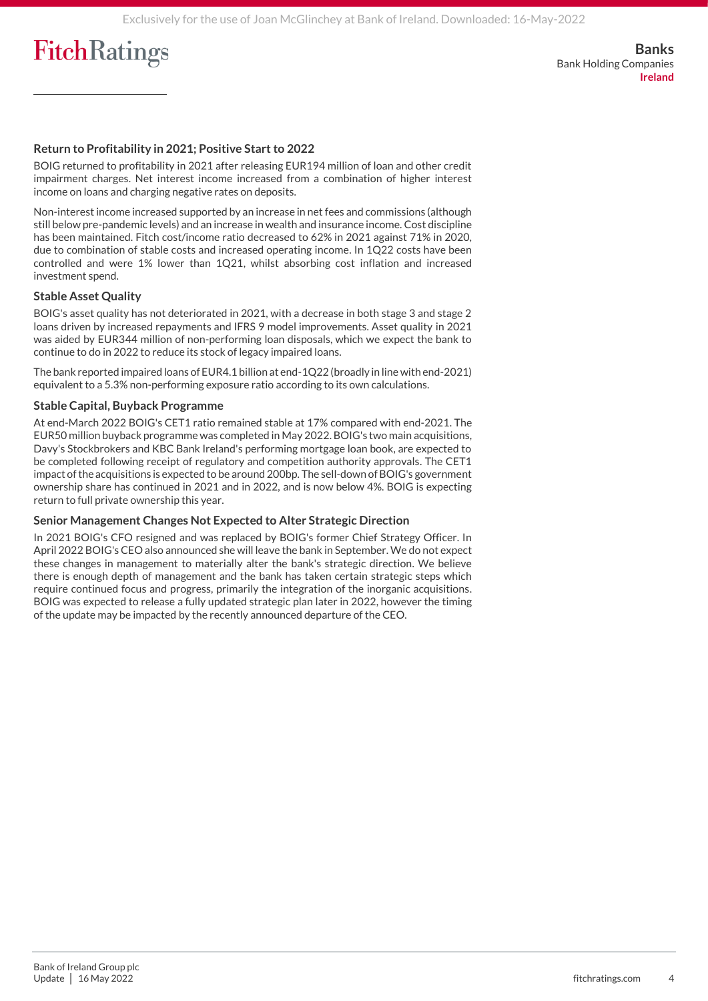**Banks** Bank Holding Companies **Ireland**

#### **Return to Profitability in 2021; Positive Start to 2022**

BOIG returned to profitability in 2021 after releasing EUR194 million of loan and other credit impairment charges. Net interest income increased from a combination of higher interest income on loans and charging negative rates on deposits.

Non-interest income increased supported by an increase in net fees and commissions (although still below pre-pandemic levels) and an increase in wealth and insurance income. Cost discipline has been maintained. Fitch cost/income ratio decreased to 62% in 2021 against 71% in 2020, due to combination of stable costs and increased operating income. In 1Q22 costs have been controlled and were 1% lower than 1Q21, whilst absorbing cost inflation and increased investment spend.

#### **Stable Asset Quality**

BOIG's asset quality has not deteriorated in 2021, with a decrease in both stage 3 and stage 2 loans driven by increased repayments and IFRS 9 model improvements. Asset quality in 2021 was aided by EUR344 million of non-performing loan disposals, which we expect the bank to continue to do in 2022 to reduce its stock of legacy impaired loans.

The bank reported impaired loans of EUR4.1 billion at end-1Q22 (broadly in line with end-2021) equivalent to a 5.3% non-performing exposure ratio according to its own calculations.

#### **Stable Capital, Buyback Programme**

At end-March 2022 BOIG's CET1 ratio remained stable at 17% compared with end-2021. The EUR50 million buyback programme was completed in May 2022. BOIG's two main acquisitions, Davy's Stockbrokers and KBC Bank Ireland's performing mortgage loan book, are expected to be completed following receipt of regulatory and competition authority approvals. The CET1 impact of the acquisitions is expected to be around 200bp. The sell-down of BOIG's government ownership share has continued in 2021 and in 2022, and is now below 4%. BOIG is expecting return to full private ownership this year.

#### **Senior Management Changes Not Expected to Alter Strategic Direction**

In 2021 BOIG's CFO resigned and was replaced by BOIG's former Chief Strategy Officer. In April 2022 BOIG's CEO also announced she will leave the bank in September. We do not expect these changes in management to materially alter the bank's strategic direction. We believe there is enough depth of management and the bank has taken certain strategic steps which require continued focus and progress, primarily the integration of the inorganic acquisitions. BOIG was expected to release a fully updated strategic plan later in 2022, however the timing of the update may be impacted by the recently announced departure of the CEO.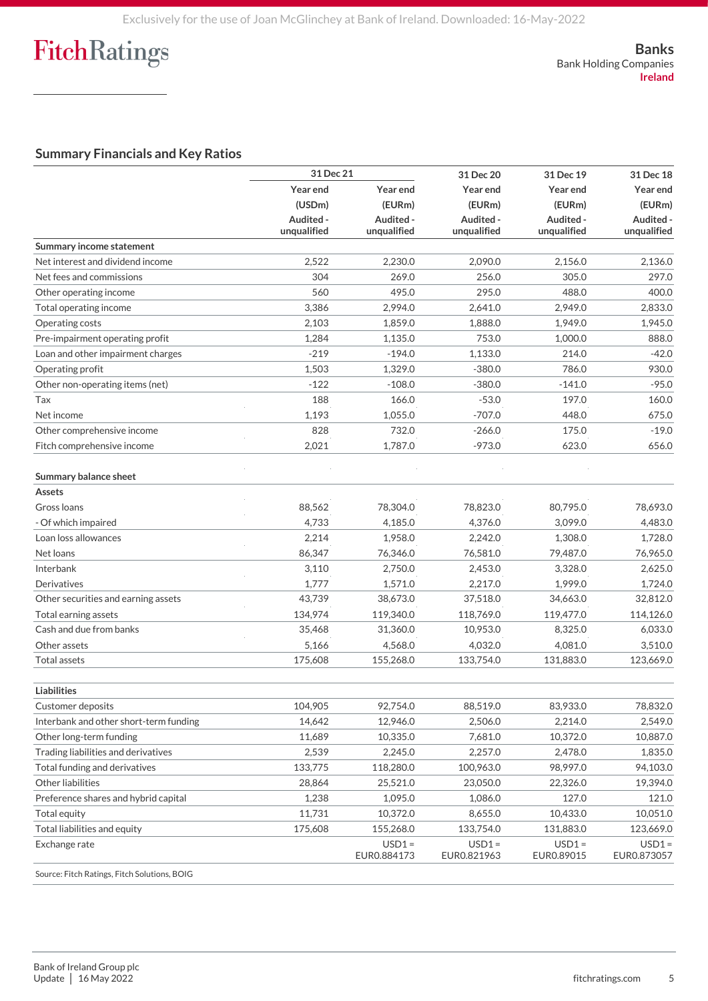#### **Summary Financials and Key Ratios**

|                                              | 31 Dec 21                |                          | 31 Dec 20                | 31 Dec 19                | 31 Dec 18                |          |
|----------------------------------------------|--------------------------|--------------------------|--------------------------|--------------------------|--------------------------|----------|
|                                              | Year end<br>(USDm)       | Year end                 |                          | Year end                 | Year end                 | Year end |
|                                              |                          | (EURm)                   | (EURm)                   | (EURm)                   | (EURm)                   |          |
|                                              | Audited -<br>unqualified | Audited -<br>unqualified | Audited -<br>unqualified | Audited -<br>unqualified | Audited -<br>unqualified |          |
| <b>Summary income statement</b>              |                          |                          |                          |                          |                          |          |
| Net interest and dividend income             | 2,522                    | 2,230.0                  | 2,090.0                  | 2,156.0                  | 2,136.0                  |          |
| Net fees and commissions                     | 304                      | 269.0                    | 256.0                    | 305.0                    | 297.0                    |          |
| Other operating income                       | 560                      | 495.0                    | 295.0                    | 488.0                    | 400.0                    |          |
| Total operating income                       | 3,386                    | 2,994.0                  | 2,641.0                  | 2,949.0                  | 2,833.0                  |          |
| Operating costs                              | 2,103                    | 1,859.0                  | 1,888.0                  | 1,949.0                  | 1,945.0                  |          |
| Pre-impairment operating profit              | 1,284                    | 1.135.0                  | 753.0                    | 1,000.0                  | 888.0                    |          |
| Loan and other impairment charges            | $-219$                   | $-194.0$                 | 1,133.0                  | 214.0                    | $-42.0$                  |          |
| Operating profit                             | 1,503                    | 1,329.0                  | $-380.0$                 | 786.0                    | 930.0                    |          |
| Other non-operating items (net)              | $-122$                   | $-108.0$                 | $-380.0$                 | $-141.0$                 | $-95.0$                  |          |
| Tax                                          | 188                      | 166.0                    | $-53.0$                  | 197.0                    | 160.0                    |          |
| Net income                                   | 1,193                    | 1,055.0                  | $-707.0$                 | 448.0                    | 675.0                    |          |
| Other comprehensive income                   | 828                      | 732.0                    | $-266.0$                 | 175.0                    | $-19.0$                  |          |
| Fitch comprehensive income                   | 2,021                    | 1,787.0                  | $-973.0$                 | 623.0                    | 656.0                    |          |
| <b>Summary balance sheet</b>                 |                          |                          |                          |                          |                          |          |
| Assets                                       |                          |                          |                          |                          |                          |          |
| Gross Ioans                                  | 88,562                   | 78,304.0                 | 78,823.0                 | 80,795.0                 | 78,693.0                 |          |
| - Of which impaired                          | 4,733                    | 4,185.0                  | 4,376.0                  | 3,099.0                  | 4,483.0                  |          |
| Loan loss allowances                         | 2,214                    | 1,958.0                  | 2,242.0                  | 1,308.0                  | 1,728.0                  |          |
| Net loans                                    | 86,347                   | 76,346.0                 | 76,581.0                 | 79,487.0                 | 76,965.0                 |          |
| Interbank                                    | 3,110                    | 2,750.0                  | 2,453.0                  | 3,328.0                  | 2,625.0                  |          |
| Derivatives                                  | 1,777                    | 1,571.0                  | 2,217.0                  | 1,999.0                  | 1,724.0                  |          |
| Other securities and earning assets          | 43,739                   | 38,673.0                 | 37,518.0                 | 34,663.0                 | 32,812.0                 |          |
| Total earning assets                         | 134,974                  | 119,340.0                | 118,769.0                | 119,477.0                | 114,126.0                |          |
| Cash and due from banks                      | 35,468                   | 31,360.0                 | 10,953.0                 | 8,325.0                  | 6,033.0                  |          |
| Other assets                                 | 5,166                    | 4,568.0                  | 4,032.0                  | 4,081.0                  | 3,510.0                  |          |
| <b>Total assets</b>                          | 175,608                  | 155,268.0                | 133,754.0                | 131,883.0                | 123,669.0                |          |
| <b>Liabilities</b>                           |                          |                          |                          |                          |                          |          |
| Customer deposits                            | 104,905                  | 92,754.0                 | 88,519.0                 | 83,933.0                 | 78,832.0                 |          |
| Interbank and other short-term funding       | 14,642                   | 12,946.0                 | 2,506.0                  | 2,214.0                  | 2,549.0                  |          |
| Other long-term funding                      | 11,689                   | 10,335.0                 | 7,681.0                  | 10,372.0                 | 10,887.0                 |          |
| Trading liabilities and derivatives          | 2,539                    | 2,245.0                  | 2,257.0                  | 2,478.0                  | 1,835.0                  |          |
| Total funding and derivatives                | 133,775                  | 118,280.0                | 100,963.0                | 98,997.0                 | 94,103.0                 |          |
| Other liabilities                            | 28,864                   | 25,521.0                 | 23,050.0                 | 22,326.0                 | 19,394.0                 |          |
| Preference shares and hybrid capital         | 1,238                    | 1,095.0                  | 1,086.0                  | 127.0                    | 121.0                    |          |
| Total equity                                 | 11,731                   | 10,372.0                 | 8,655.0                  | 10,433.0                 | 10,051.0                 |          |
| Total liabilities and equity                 | 175,608                  | 155,268.0                | 133,754.0                | 131,883.0                | 123,669.0                |          |
| Exchange rate                                |                          | $USD1 =$<br>EUR0.884173  | $USD1 =$<br>EUR0.821963  | $USD1 =$<br>EUR0.89015   | $USD1 =$<br>EUR0.873057  |          |
| Source: Fitch Ratings, Fitch Solutions, BOIG |                          |                          |                          |                          |                          |          |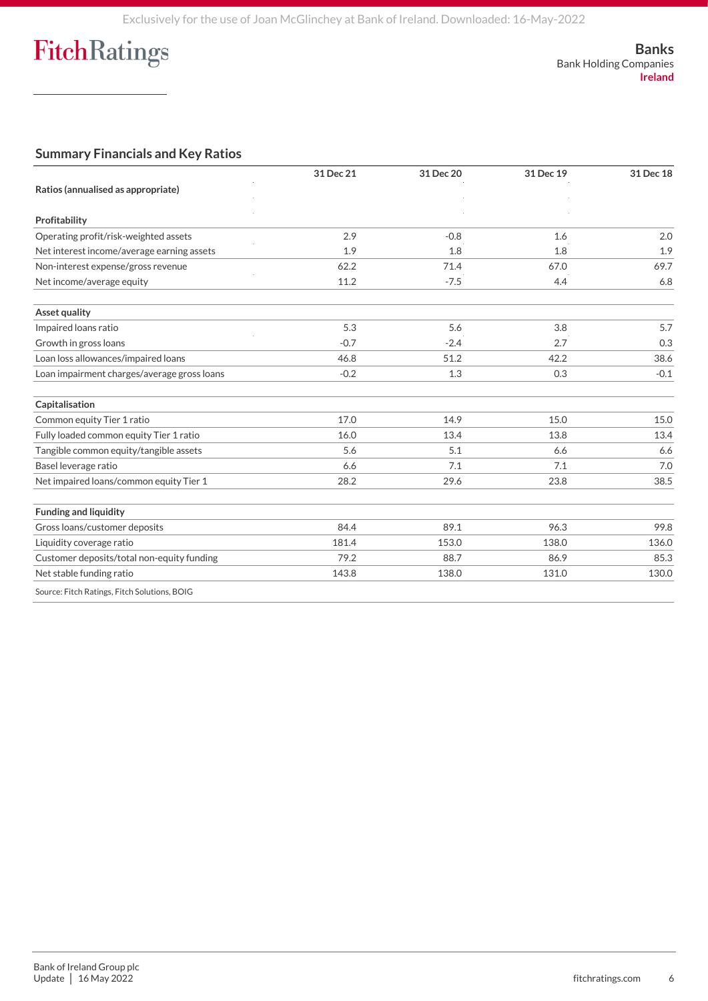**Banks** Bank Holding Companies **Ireland**

### **Summary Financials and Key Ratios**

|                                              | 31 Dec 21 | 31 Dec 20 | 31 Dec 19 | 31 Dec 18 |
|----------------------------------------------|-----------|-----------|-----------|-----------|
| Ratios (annualised as appropriate)           |           |           |           |           |
| Profitability                                |           |           |           |           |
|                                              |           |           |           |           |
| Operating profit/risk-weighted assets        | 2.9       | $-0.8$    | 1.6       | 2.0       |
| Net interest income/average earning assets   | 1.9       | 1.8       | 1.8       | 1.9       |
| Non-interest expense/gross revenue           | 62.2      | 71.4      | 67.0      | 69.7      |
| Net income/average equity                    | 11.2      | $-7.5$    | 4.4       | 6.8       |
| <b>Asset quality</b>                         |           |           |           |           |
| Impaired loans ratio                         | 5.3       | 5.6       | 3.8       | 5.7       |
| Growth in gross loans                        | $-0.7$    | $-2.4$    | 2.7       | 0.3       |
| Loan loss allowances/impaired loans          | 46.8      | 51.2      | 42.2      | 38.6      |
| Loan impairment charges/average gross loans  | $-0.2$    | 1.3       | 0.3       | $-0.1$    |
| Capitalisation                               |           |           |           |           |
| Common equity Tier 1 ratio                   | 17.0      | 14.9      | 15.0      | 15.0      |
| Fully loaded common equity Tier 1 ratio      | 16.0      | 13.4      | 13.8      | 13.4      |
| Tangible common equity/tangible assets       | 5.6       | 5.1       | 6.6       | 6.6       |
| Basel leverage ratio                         | 6.6       | 7.1       | 7.1       | 7.0       |
| Net impaired loans/common equity Tier 1      | 28.2      | 29.6      | 23.8      | 38.5      |
| <b>Funding and liquidity</b>                 |           |           |           |           |
| Gross loans/customer deposits                | 84.4      | 89.1      | 96.3      | 99.8      |
| Liquidity coverage ratio                     | 181.4     | 153.0     | 138.0     | 136.0     |
| Customer deposits/total non-equity funding   | 79.2      | 88.7      | 86.9      | 85.3      |
| Net stable funding ratio                     | 143.8     | 138.0     | 131.0     | 130.0     |
| Source: Fitch Ratings, Fitch Solutions, BOIG |           |           |           |           |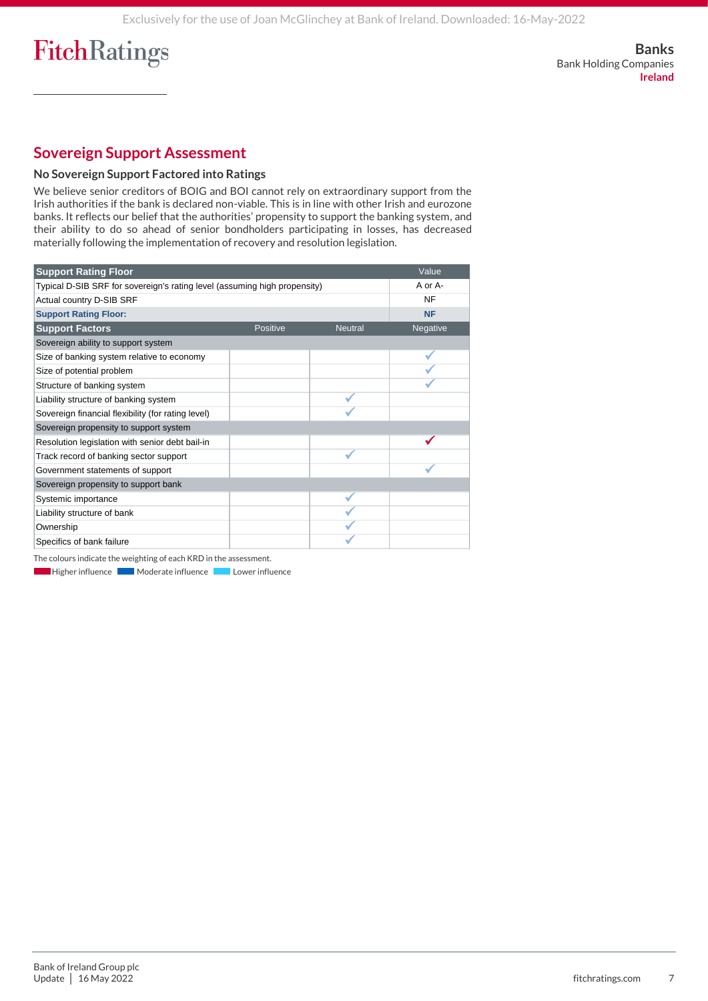## **Sovereign Support Assessment**

#### **No Sovereign Support Factored into Ratings**

We believe senior creditors of BOIG and BOI cannot rely on extraordinary support from the Irish authorities if the bank is declared non-viable. This is in line with other Irish and eurozone banks. It reflects our belief that the authorities' propensity to support the banking system, and their ability to do so ahead of senior bondholders participating in losses, has decreased materially following the implementation of recovery and resolution legislation.

| <b>Support Rating Floor</b>                                               |          |                | Value     |
|---------------------------------------------------------------------------|----------|----------------|-----------|
| Typical D-SIB SRF for sovereign's rating level (assuming high propensity) |          |                | A or A-   |
| Actual country D-SIB SRF                                                  |          |                | <b>NF</b> |
| <b>Support Rating Floor:</b>                                              |          |                | <b>NF</b> |
| <b>Support Factors</b>                                                    | Positive | <b>Neutral</b> | Negative  |
| Sovereign ability to support system                                       |          |                |           |
| Size of banking system relative to economy                                |          |                |           |
| Size of potential problem                                                 |          |                |           |
| Structure of banking system                                               |          |                |           |
| Liability structure of banking system                                     |          |                |           |
| Sovereign financial flexibility (for rating level)                        |          |                |           |
| Sovereign propensity to support system                                    |          |                |           |
| Resolution legislation with senior debt bail-in                           |          |                |           |
| Track record of banking sector support                                    |          |                |           |
| Government statements of support                                          |          |                |           |
| Sovereign propensity to support bank                                      |          |                |           |
| Systemic importance                                                       |          |                |           |
| Liability structure of bank                                               |          |                |           |
| Ownership                                                                 |          |                |           |
| Specifics of bank failure                                                 |          |                |           |

The colours indicate the weighting of each KRD in the assessment.

**Higher influence Moderate influence Lower influence** r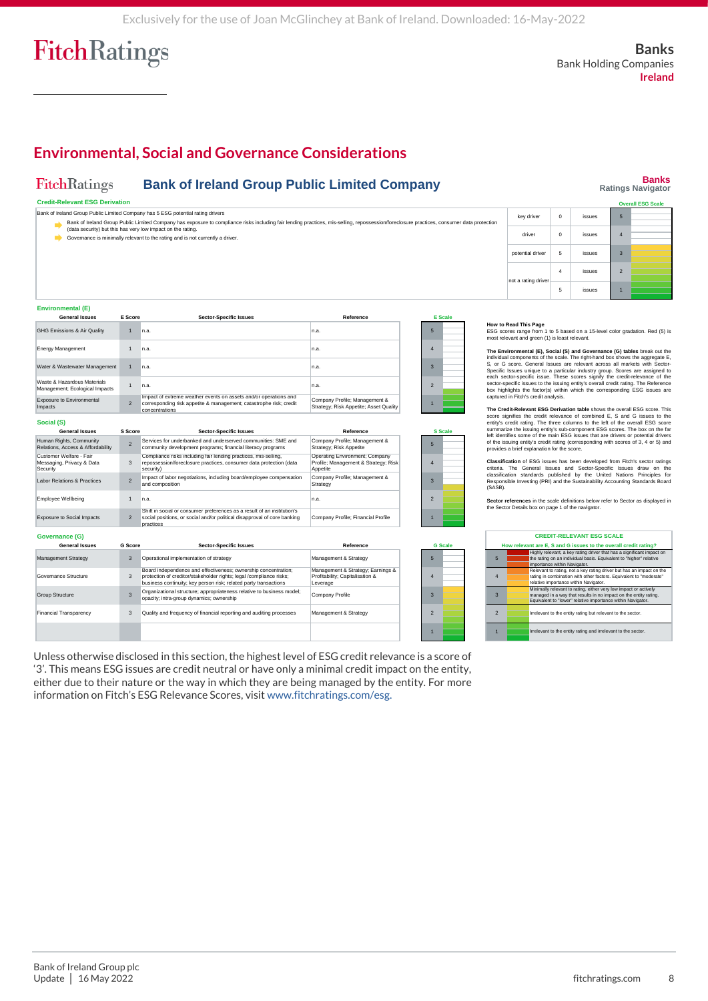## **Environmental, Social and Governance Considerations**

#### **FitchRatings Bank of Ireland Group Public Limited Company**

## **Banks Ratings Navigator**

| <b>Credit-Relevant ESG Derivation</b><br><b>Overall ESG Scale</b>                                                                                                                                                                                        |                     |  |        |                |  |  |  |
|----------------------------------------------------------------------------------------------------------------------------------------------------------------------------------------------------------------------------------------------------------|---------------------|--|--------|----------------|--|--|--|
| Bank of Ireland Group Public Limited Company has 5 ESG potential rating drivers<br>key driver<br>issues<br>æ                                                                                                                                             |                     |  |        |                |  |  |  |
| Bank of Ireland Group Public Limited Company has exposure to compliance risks including fair lending practices, mis-selling, repossession/foreclosure practices, consumer data protection<br>(data security) but this has very low impact on the rating. |                     |  |        |                |  |  |  |
| Governance is minimally relevant to the rating and is not currently a driver.                                                                                                                                                                            | driver              |  | issues |                |  |  |  |
|                                                                                                                                                                                                                                                          | potential driver    |  | issues | 3              |  |  |  |
|                                                                                                                                                                                                                                                          | not a rating driver |  | issues | $\overline{2}$ |  |  |  |
|                                                                                                                                                                                                                                                          |                     |  | issues |                |  |  |  |

#### **Environmental (E)**

| <b>General Issues</b>                                         | E Score        | <b>Sector-Specific Issues</b>                                                                                                                            | Reference                                                               | E <sub>Sc</sub>          |  |
|---------------------------------------------------------------|----------------|----------------------------------------------------------------------------------------------------------------------------------------------------------|-------------------------------------------------------------------------|--------------------------|--|
| GHG Emissions & Air Quality                                   |                | n.a.                                                                                                                                                     | In.a.                                                                   | 5                        |  |
| <b>Energy Management</b>                                      |                | n.a.                                                                                                                                                     | In.a.                                                                   |                          |  |
| Water & Wastewater Management                                 |                | n.a.                                                                                                                                                     | In.a.                                                                   | з                        |  |
| Waste & Hazardous Materials<br>Management; Ecological Impacts |                | n.a.                                                                                                                                                     | In.a.                                                                   | $\overline{\phantom{a}}$ |  |
| <b>Exposure to Environmental</b><br>Impacts                   | $\overline{2}$ | Impact of extreme weather events on assets and/or operations and<br>corresponding risk appetite & management; catastrophe risk; credit<br>concentrations | Company Profile; Management &<br>Strategy; Risk Appetite; Asset Quality |                          |  |
| Social (S)                                                    |                |                                                                                                                                                          |                                                                         |                          |  |

| <b>General Issues</b>                                            | S Score        | <b>Sector-Specific Issues</b>                                                                                                                                                                             | Reference                                                                          |                          | <b>S</b> Scale |
|------------------------------------------------------------------|----------------|-----------------------------------------------------------------------------------------------------------------------------------------------------------------------------------------------------------|------------------------------------------------------------------------------------|--------------------------|----------------|
| Human Rights, Community<br>Relations, Access & Affordability     | $\overline{2}$ | Services for underbanked and underserved communities: SME and<br>community development programs; financial literacy programs                                                                              | Company Profile; Management &<br>Strategy; Risk Appetite                           | 5                        |                |
| Customer Welfare - Fair<br>Messaging, Privacy & Data<br>Security | 3              | Compliance risks including fair lending practices, mis-selling,<br>repossession/foreclosure practices, consumer data protection (data<br>security)                                                        | Operating Environment; Company<br>Profile; Management & Strategy; Risk<br>Appetite | $\Delta$                 |                |
| <b>Labor Relations &amp; Practices</b>                           | $\overline{2}$ | Impact of labor negotiations, including board/employee compensation<br>and composition                                                                                                                    | Company Profile; Management &<br>Strategy                                          | $\mathbf{3}$             |                |
| <b>Employee Wellbeing</b>                                        | $\mathbf{1}$   | n.a.                                                                                                                                                                                                      | n.a.                                                                               | $\overline{\phantom{0}}$ |                |
| <b>Exposure to Social Impacts</b>                                | $\overline{2}$ | Shift in social or consumer preferences as a result of an institution's<br>social positions, or social and/or political disapproval of core banking<br>practices                                          | Company Profile; Financial Profile                                                 |                          |                |
| Governance (G)                                                   |                |                                                                                                                                                                                                           |                                                                                    |                          |                |
| <b>General Issues</b>                                            | G Score        | <b>Sector-Specific Issues</b>                                                                                                                                                                             | Reference                                                                          |                          | <b>G</b> Scale |
| Management Strategy                                              | 3              | Operational implementation of strategy                                                                                                                                                                    | Management & Strategy                                                              | 5                        |                |
| Governance Structure                                             | 3              | Board independence and effectiveness; ownership concentration;<br>protection of creditor/stakeholder rights: legal /compliance risks:<br>business continuity: key person risk: related party transactions | Management & Strategy; Earnings &<br>Profitability: Capitalisation &<br>Leverage   | $\Delta$                 |                |
| <b>Group Structure</b>                                           | 3              | Organizational structure; appropriateness relative to business model;<br>opacity; intra-group dynamics; ownership                                                                                         | Company Profile                                                                    | $\mathbf{3}$             |                |
| <b>Financial Transparency</b>                                    | 3              | Quality and frequency of financial reporting and auditing processes                                                                                                                                       | Management & Strategy                                                              | $\overline{\phantom{0}}$ |                |
|                                                                  |                |                                                                                                                                                                                                           |                                                                                    |                          |                |

Unless otherwise disclosed in this section, the highest level of ESG credit relevance is a score of '3'. This means ESG issues are credit neutral or have only a minimal credit impact on the entity, either due to their nature or the way in which they are being managed by the entity. For more information on Fitch's ESG Relevance Scores, visit [www.fitchratings.com/esg.](http://www.fitchratings.com/esg) 

# **E Scale**





## **How to Read This Page**<br>ESG scores range from 1 to 5 based on a 15-level color gradation. Red (5) is<br>most relevant and green (1) is least relevant.

The Environmental (E), Social (S) and Governance (G) tables break out the individual components of the scale. The right-hand box shows the aggregate E, S, or G score. General Issues are relevant across all markets with Sec

The Credit-Relevant ESO Derivation table shows the overall ESG score. This Credit-Relevant Escore signifies the credit relevance of combined E, S and G issues to the entity's credit rating. The three columns to the left of

Classification of ESG issues has been developed from Firch's sector ratings<br>criteria. The General Issues and Sector-Specific Issues draw on the<br>classification standards published by the United Nations Principles for<br>Respon

**Sector references** in the scale definitions below refer to Sector as displayed in the Sector Details box on page 1 of the navigator.

|                | <b>CREDIT-RELEVANT ESG SCALE</b>                                                                                                                                                                    |  |  |  |  |
|----------------|-----------------------------------------------------------------------------------------------------------------------------------------------------------------------------------------------------|--|--|--|--|
|                | How relevant are E. S and G issues to the overall credit rating?                                                                                                                                    |  |  |  |  |
| 5              | Highly relevant, a key rating driver that has a significant impact on<br>the rating on an individual basis. Equivalent to "higher" relative<br>importance within Navigator.                         |  |  |  |  |
| 4              | Relevant to rating, not a key rating driver but has an impact on the<br>rating in combination with other factors. Equivalent to "moderate"<br>relative importance within Navigator.                 |  |  |  |  |
| 3              | Minimally relevant to rating, either very low impact or actively<br>managed in a way that results in no impact on the entity rating.<br>Equivalent to "lower" relative importance within Navigator. |  |  |  |  |
| $\mathfrak{p}$ | Irrelevant to the entity rating but relevant to the sector.                                                                                                                                         |  |  |  |  |
|                | Irrelevant to the entity rating and irrelevant to the sector.                                                                                                                                       |  |  |  |  |